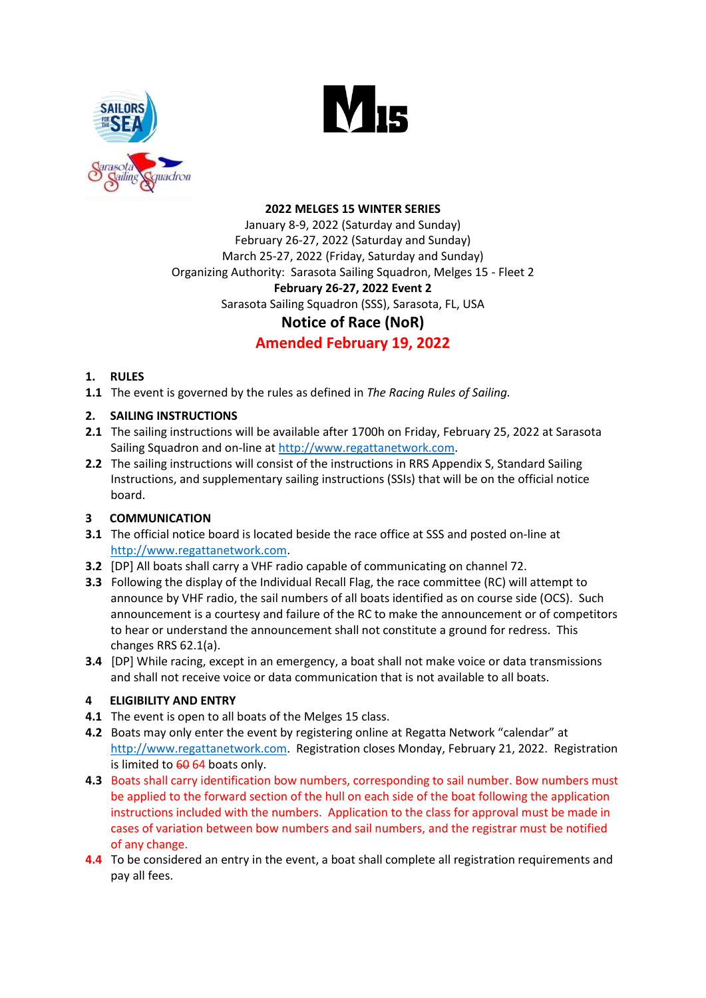



#### **2022 MELGES 15 WINTER SERIES**

January 8-9, 2022 (Saturday and Sunday) February 26-27, 2022 (Saturday and Sunday) March 25-27, 2022 (Friday, Saturday and Sunday) Organizing Authority: Sarasota Sailing Squadron, Melges 15 - Fleet 2 **February 26-27, 2022 Event 2** Sarasota Sailing Squadron (SSS), Sarasota, FL, USA **Notice of Race (NoR)**

# **Amended February 19, 2022**

# **1. RULES**

**1.1** The event is governed by the rules as defined in *The Racing Rules of Sailing.*

# **2. SAILING INSTRUCTIONS**

- **2.1** The sailing instructions will be available after 1700h on Friday, February 25, 2022 at Sarasota Sailing Squadron and on-line a[t http://www.regattanetwork.com.](http://www.regattanetwork.com/)
- **2.2** The sailing instructions will consist of the instructions in RRS Appendix S, Standard Sailing Instructions, and supplementary sailing instructions (SSIs) that will be on the official notice board.

# **3 COMMUNICATION**

- **3.1** The official notice board is located beside the race office at SSS and posted on-line at [http://www.regattanetwork.com.](http://www.regattanetwork.com/)
- **3.2** [DP] All boats shall carry a VHF radio capable of communicating on channel 72.
- **3.3** Following the display of the Individual Recall Flag, the race committee (RC) will attempt to announce by VHF radio, the sail numbers of all boats identified as on course side (OCS). Such announcement is a courtesy and failure of the RC to make the announcement or of competitors to hear or understand the announcement shall not constitute a ground for redress. This changes RRS 62.1(a).
- **3.4** [DP] While racing, except in an emergency, a boat shall not make voice or data transmissions and shall not receive voice or data communication that is not available to all boats.

# **4 ELIGIBILITY AND ENTRY**

- **4.1** The event is open to all boats of the Melges 15 class.
- **4.2** Boats may only enter the event by registering online at Regatta Network "calendar" at [http://www.regattanetwork.com.](http://www.regattanetwork.com/) Registration closes Monday, February 21, 2022. Registration is limited to  $60\,64$  boats only.
- **4.3** Boats shall carry identification bow numbers, corresponding to sail number. Bow numbers must be applied to the forward section of the hull on each side of the boat following the application instructions included with the numbers. Application to the class for approval must be made in cases of variation between bow numbers and sail numbers, and the registrar must be notified of any change.
- **4.4** To be considered an entry in the event, a boat shall complete all registration requirements and pay all fees.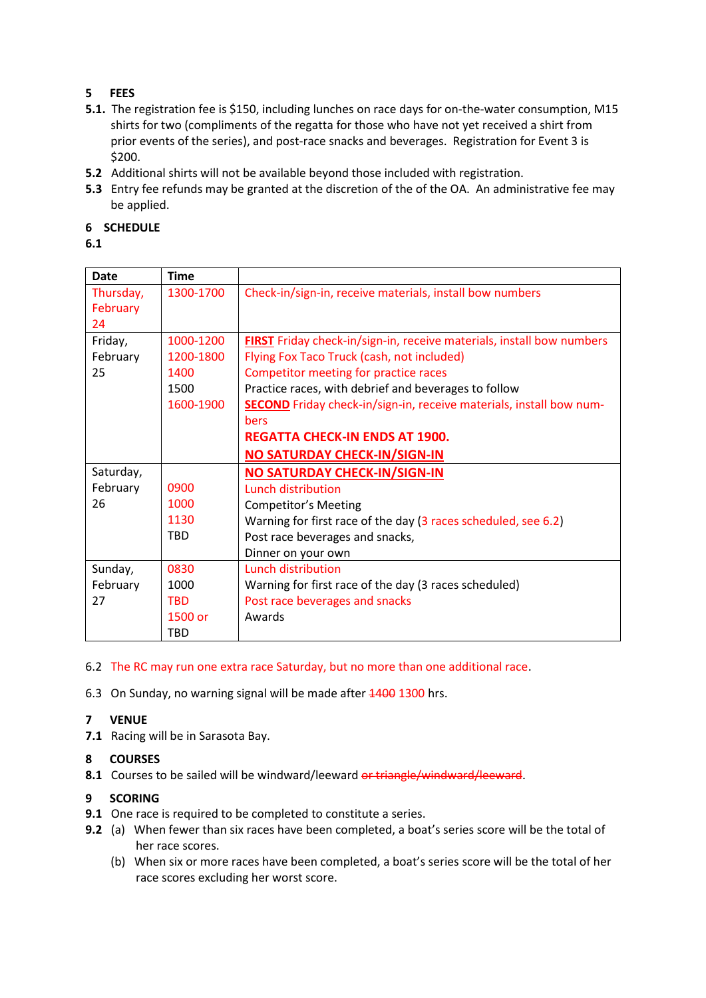# **5 FEES**

- **5.1.** The registration fee is \$150, including lunches on race days for on-the-water consumption, M15 shirts for two (compliments of the regatta for those who have not yet received a shirt from prior events of the series), and post-race snacks and beverages. Registration for Event 3 is \$200.
- **5.2** Additional shirts will not be available beyond those included with registration.
- **5.3** Entry fee refunds may be granted at the discretion of the of the OA. An administrative fee may be applied.

# **6 SCHEDULE**

**6.1**

| <b>Date</b> | <b>Time</b> |                                                                              |
|-------------|-------------|------------------------------------------------------------------------------|
| Thursday,   | 1300-1700   | Check-in/sign-in, receive materials, install bow numbers                     |
| February    |             |                                                                              |
| 24          |             |                                                                              |
| Friday,     | 1000-1200   | <b>FIRST</b> Friday check-in/sign-in, receive materials, install bow numbers |
| February    | 1200-1800   | Flying Fox Taco Truck (cash, not included)                                   |
| 25          | 1400        | Competitor meeting for practice races                                        |
|             | 1500        | Practice races, with debrief and beverages to follow                         |
|             | 1600-1900   | <b>SECOND</b> Friday check-in/sign-in, receive materials, install bow num-   |
|             |             | bers                                                                         |
|             |             | <b>REGATTA CHECK-IN ENDS AT 1900.</b>                                        |
|             |             | <b>NO SATURDAY CHECK-IN/SIGN-IN</b>                                          |
| Saturday,   |             | <b>NO SATURDAY CHECK-IN/SIGN-IN</b>                                          |
| February    | 0900        | Lunch distribution                                                           |
| 26          | 1000        | <b>Competitor's Meeting</b>                                                  |
|             | 1130        | Warning for first race of the day (3 races scheduled, see 6.2)               |
|             | <b>TBD</b>  | Post race beverages and snacks,                                              |
|             |             | Dinner on your own                                                           |
| Sunday,     | 0830        | Lunch distribution                                                           |
| February    | 1000        | Warning for first race of the day (3 races scheduled)                        |
| 27          | <b>TBD</b>  | Post race beverages and snacks                                               |
|             | 1500 or     | Awards                                                                       |
|             | <b>TBD</b>  |                                                                              |

# 6.2 The RC may run one extra race Saturday, but no more than one additional race.

6.3 On Sunday, no warning signal will be made after 1400 1300 hrs.

# **7 VENUE**

**7.1** Racing will be in Sarasota Bay.

### **8 COURSES**

**8.1** Courses to be sailed will be windward/leeward or triangle/windward/leeward.

# **9 SCORING**

- **9.1** One race is required to be completed to constitute a series.
- **9.2** (a) When fewer than six races have been completed, a boat's series score will be the total of her race scores.
	- (b) When six or more races have been completed, a boat's series score will be the total of her race scores excluding her worst score.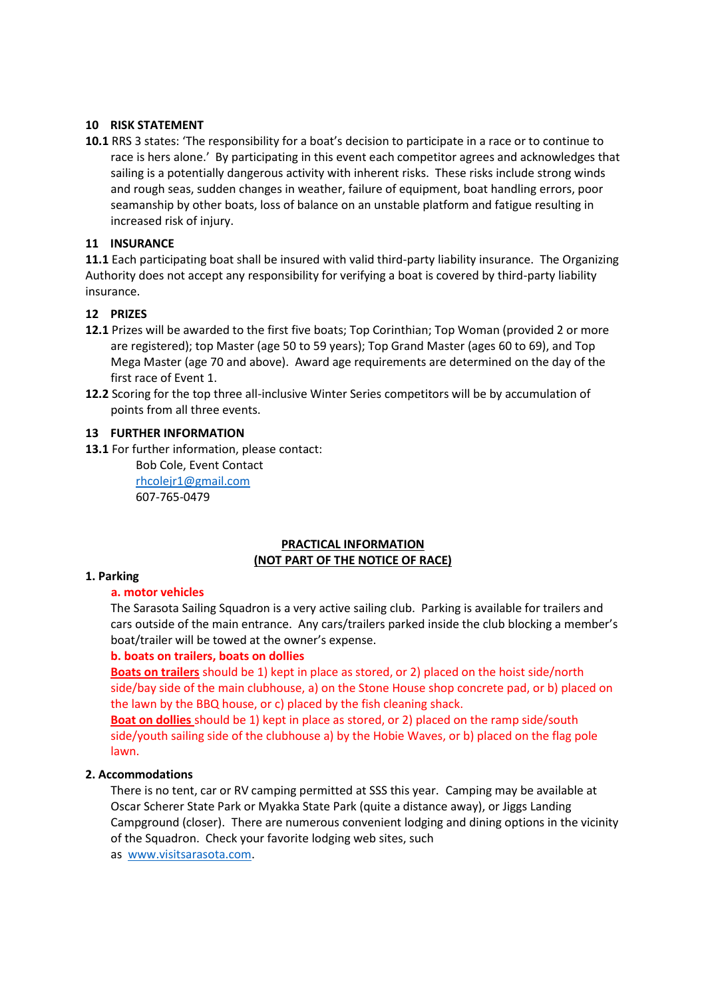### **10 RISK STATEMENT**

**10.1** RRS 3 states: 'The responsibility for a boat's decision to participate in a race or to continue to race is hers alone.' By participating in this event each competitor agrees and acknowledges that sailing is a potentially dangerous activity with inherent risks. These risks include strong winds and rough seas, sudden changes in weather, failure of equipment, boat handling errors, poor seamanship by other boats, loss of balance on an unstable platform and fatigue resulting in increased risk of injury.

### **11 INSURANCE**

**11.1** Each participating boat shall be insured with valid third-party liability insurance. The Organizing Authority does not accept any responsibility for verifying a boat is covered by third-party liability insurance.

### **12 PRIZES**

- **12.1** Prizes will be awarded to the first five boats; Top Corinthian; Top Woman (provided 2 or more are registered); top Master (age 50 to 59 years); Top Grand Master (ages 60 to 69), and Top Mega Master (age 70 and above). Award age requirements are determined on the day of the first race of Event 1.
- **12.2** Scoring for the top three all-inclusive Winter Series competitors will be by accumulation of points from all three events.

### **13 FURTHER INFORMATION**

**13.1** For further information, please contact:

Bob Cole, Event Contact [rhcolejr1@gmail.com](mailto:rhcolejr1@gmail.com)  607-765-0479

### **PRACTICAL INFORMATION (NOT PART OF THE NOTICE OF RACE)**

### **1. Parking**

### **a. motor vehicles**

The Sarasota Sailing Squadron is a very active sailing club. Parking is available for trailers and cars outside of the main entrance. Any cars/trailers parked inside the club blocking a member's boat/trailer will be towed at the owner's expense.

### **b. boats on trailers, boats on dollies**

**Boats on trailers** should be 1) kept in place as stored, or 2) placed on the hoist side/north side/bay side of the main clubhouse, a) on the Stone House shop concrete pad, or b) placed on the lawn by the BBQ house, or c) placed by the fish cleaning shack.

**Boat on dollies** should be 1) kept in place as stored, or 2) placed on the ramp side/south side/youth sailing side of the clubhouse a) by the Hobie Waves, or b) placed on the flag pole lawn.

### **2. Accommodations**

There is no tent, car or RV camping permitted at SSS this year. Camping may be available at Oscar Scherer State Park or Myakka State Park (quite a distance away), or Jiggs Landing Campground (closer). There are numerous convenient lodging and dining options in the vicinity of the Squadron. Check your favorite lodging web sites, such as [www.visitsarasota.com.](http://www.visitsarasota.com/)